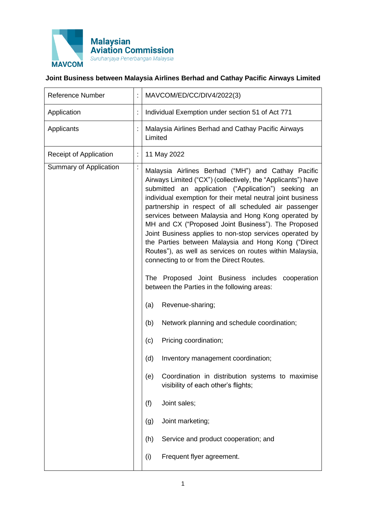

## **Joint Business between Malaysia Airlines Berhad and Cathay Pacific Airways Limited**

| <b>Reference Number</b> | t | MAVCOM/ED/CC/DIV4/2022(3)                                                                                                                                                                                                                                                                                                                                                                                                                                                                                                                                                                                                                                                                                                                                                                                                                                                                                                                                                                                                                                                                                                                         |
|-------------------------|---|---------------------------------------------------------------------------------------------------------------------------------------------------------------------------------------------------------------------------------------------------------------------------------------------------------------------------------------------------------------------------------------------------------------------------------------------------------------------------------------------------------------------------------------------------------------------------------------------------------------------------------------------------------------------------------------------------------------------------------------------------------------------------------------------------------------------------------------------------------------------------------------------------------------------------------------------------------------------------------------------------------------------------------------------------------------------------------------------------------------------------------------------------|
| Application             |   | Individual Exemption under section 51 of Act 771                                                                                                                                                                                                                                                                                                                                                                                                                                                                                                                                                                                                                                                                                                                                                                                                                                                                                                                                                                                                                                                                                                  |
| Applicants              |   | Malaysia Airlines Berhad and Cathay Pacific Airways<br>Limited                                                                                                                                                                                                                                                                                                                                                                                                                                                                                                                                                                                                                                                                                                                                                                                                                                                                                                                                                                                                                                                                                    |
| Receipt of Application  |   | 11 May 2022                                                                                                                                                                                                                                                                                                                                                                                                                                                                                                                                                                                                                                                                                                                                                                                                                                                                                                                                                                                                                                                                                                                                       |
| Summary of Application  | t | Malaysia Airlines Berhad ("MH") and Cathay Pacific<br>Airways Limited ("CX") (collectively, the "Applicants") have<br>submitted an application ("Application") seeking an<br>individual exemption for their metal neutral joint business<br>partnership in respect of all scheduled air passenger<br>services between Malaysia and Hong Kong operated by<br>MH and CX ("Proposed Joint Business"). The Proposed<br>Joint Business applies to non-stop services operated by<br>the Parties between Malaysia and Hong Kong ("Direct<br>Routes"), as well as services on routes within Malaysia,<br>connecting to or from the Direct Routes.<br>The Proposed Joint Business includes cooperation<br>between the Parties in the following areas:<br>Revenue-sharing;<br>(a)<br>Network planning and schedule coordination;<br>(b)<br>Pricing coordination;<br>(c)<br>Inventory management coordination;<br>(d)<br>Coordination in distribution systems to maximise<br>(e)<br>visibility of each other's flights;<br>(f)<br>Joint sales;<br>Joint marketing;<br>(g)<br>Service and product cooperation; and<br>(h)<br>Frequent flyer agreement.<br>(i) |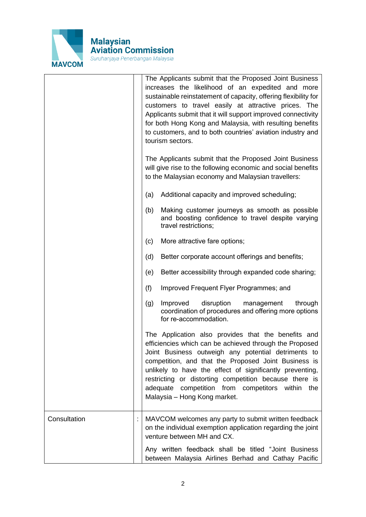

|              | The Applicants submit that the Proposed Joint Business<br>increases the likelihood of an expedited and more<br>sustainable reinstatement of capacity, offering flexibility for<br>customers to travel easily at attractive prices. The<br>Applicants submit that it will support improved connectivity<br>for both Hong Kong and Malaysia, with resulting benefits<br>to customers, and to both countries' aviation industry and<br>tourism sectors. |
|--------------|------------------------------------------------------------------------------------------------------------------------------------------------------------------------------------------------------------------------------------------------------------------------------------------------------------------------------------------------------------------------------------------------------------------------------------------------------|
|              | The Applicants submit that the Proposed Joint Business<br>will give rise to the following economic and social benefits<br>to the Malaysian economy and Malaysian travellers:                                                                                                                                                                                                                                                                         |
|              | Additional capacity and improved scheduling;<br>(a)                                                                                                                                                                                                                                                                                                                                                                                                  |
|              | Making customer journeys as smooth as possible<br>(b)<br>and boosting confidence to travel despite varying<br>travel restrictions;                                                                                                                                                                                                                                                                                                                   |
|              | More attractive fare options;<br>(c)                                                                                                                                                                                                                                                                                                                                                                                                                 |
|              | Better corporate account offerings and benefits;<br>(d)                                                                                                                                                                                                                                                                                                                                                                                              |
|              | Better accessibility through expanded code sharing;<br>(e)                                                                                                                                                                                                                                                                                                                                                                                           |
|              | (f)<br>Improved Frequent Flyer Programmes; and                                                                                                                                                                                                                                                                                                                                                                                                       |
|              | Improved<br>disruption<br>management<br>through<br>(g)<br>coordination of procedures and offering more options<br>for re-accommodation.                                                                                                                                                                                                                                                                                                              |
|              | The Application also provides that the benefits and<br>efficiencies which can be achieved through the Proposed<br>Joint Business outweigh any potential detriments to<br>competition, and that the Proposed Joint Business is<br>unlikely to have the effect of significantly preventing,<br>restricting or distorting competition because there is<br>adequate competition from competitors within<br>the<br>Malaysia - Hong Kong market.           |
| Consultation | MAVCOM welcomes any party to submit written feedback<br>on the individual exemption application regarding the joint<br>venture between MH and CX.                                                                                                                                                                                                                                                                                                    |
|              | Any written feedback shall be titled "Joint Business<br>between Malaysia Airlines Berhad and Cathay Pacific                                                                                                                                                                                                                                                                                                                                          |